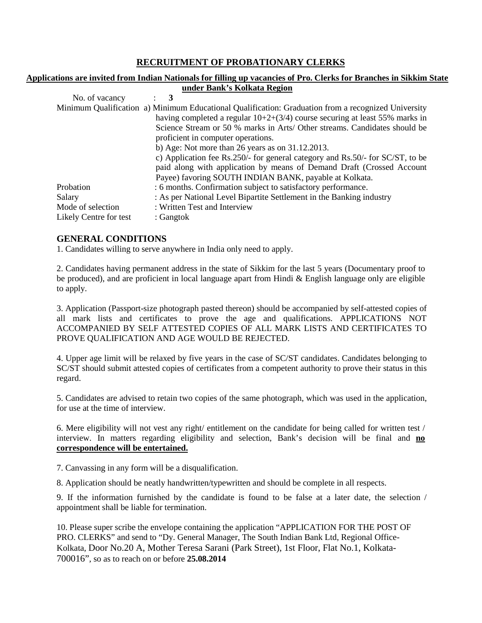# **RECRUITMENT OF PROBATIONARY CLERKS**

#### **Applications are invited from Indian Nationals for filling up vacancies of Pro. Clerks for Branches in Sikkim State under Bank's Kolkata Region**

| No. of vacancy         |                                                                                                     |
|------------------------|-----------------------------------------------------------------------------------------------------|
|                        | Minimum Qualification a) Minimum Educational Qualification: Graduation from a recognized University |
|                        | having completed a regular $10+2+(3/4)$ course securing at least 55% marks in                       |
|                        | Science Stream or 50 % marks in Arts/ Other streams. Candidates should be                           |
|                        | proficient in computer operations.                                                                  |
|                        | b) Age: Not more than 26 years as on $31.12.2013$ .                                                 |
|                        | c) Application fee Rs.250/- for general category and Rs.50/- for SC/ST, to be                       |
|                        | paid along with application by means of Demand Draft (Crossed Account                               |
|                        | Payee) favoring SOUTH INDIAN BANK, payable at Kolkata.                                              |
| Probation              | : 6 months. Confirmation subject to satisfactory performance.                                       |
| Salary                 | : As per National Level Bipartite Settlement in the Banking industry                                |
| Mode of selection      | : Written Test and Interview                                                                        |
| Likely Centre for test | : Gangtok                                                                                           |

### **GENERAL CONDITIONS**

1. Candidates willing to serve anywhere in India only need to apply.

2. Candidates having permanent address in the state of Sikkim for the last 5 years (Documentary proof to be produced), and are proficient in local language apart from Hindi & English language only are eligible to apply.

3. Application (Passport-size photograph pasted thereon) should be accompanied by self-attested copies of all mark lists and certificates to prove the age and qualifications. APPLICATIONS NOT ACCOMPANIED BY SELF ATTESTED COPIES OF ALL MARK LISTS AND CERTIFICATES TO PROVE QUALIFICATION AND AGE WOULD BE REJECTED.

4. Upper age limit will be relaxed by five years in the case of SC/ST candidates. Candidates belonging to SC/ST should submit attested copies of certificates from a competent authority to prove their status in this regard.

5. Candidates are advised to retain two copies of the same photograph, which was used in the application, for use at the time of interview.

6. Mere eligibility will not vest any right/ entitlement on the candidate for being called for written test / interview. In matters regarding eligibility and selection, Bank's decision will be final and **no correspondence will be entertained.**

7. Canvassing in any form will be a disqualification.

8. Application should be neatly handwritten/typewritten and should be complete in all respects.

9. If the information furnished by the candidate is found to be false at a later date, the selection / appointment shall be liable for termination.

10. Please super scribe the envelope containing the application "APPLICATION FOR THE POST OF PRO. CLERKS" and send to "Dy. General Manager, The South Indian Bank Ltd, Regional Office-Kolkata, Door No.20 A, Mother Teresa Sarani (Park Street), 1st Floor, Flat No.1, Kolkata-700016", so as to reach on or before **25.08.2014**